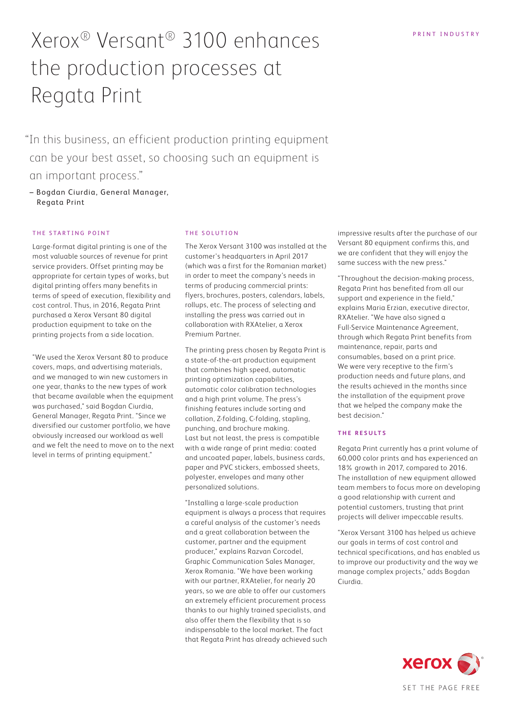# Xerox® Versant® 3100 enhances the production processes at Regata Print

 "In this business, an efficient production printing equipment can be your best asset, so choosing such an equipment is an important process."

– Bogdan Ciurdia, General Manager, Regata Print

## THE STARTING POINT

Large-format digital printing is one of the most valuable sources of revenue for print service providers. Offset printing may be appropriate for certain types of works, but digital printing offers many benefits in terms of speed of execution, flexibility and cost control. Thus, in 2016, Regata Print purchased a Xerox Versant 80 digital production equipment to take on the printing projects from a side location.

"We used the Xerox Versant 80 to produce covers, maps, and advertising materials, and we managed to win new customers in one year, thanks to the new types of work that became available when the equipment was purchased," said Bogdan Ciurdia, General Manager, Regata Print. "Since we diversified our customer portfolio, we have obviously increased our workload as well and we felt the need to move on to the next level in terms of printing equipment."

## THE SOLUTION

The Xerox Versant 3100 was installed at the customer's headquarters in April 2017 (which was a first for the Romanian market) in order to meet the company's needs in terms of producing commercial prints: flyers, brochures, posters, calendars, labels, rollups, etc. The process of selecting and installing the press was carried out in collaboration with RXAtelier, a Xerox Premium Partner.

The printing press chosen by Regata Print is a state-of-the-art production equipment that combines high speed, automatic printing optimization capabilities, automatic color calibration technologies and a high print volume. The press's finishing features include sorting and collation, Z-folding, C-folding, stapling, punching, and brochure making. Last but not least, the press is compatible with a wide range of print media: coated and uncoated paper, labels, business cards, paper and PVC stickers, embossed sheets, polyester, envelopes and many other personalized solutions.

"Installing a large-scale production equipment is always a process that requires a careful analysis of the customer's needs and a great collaboration between the customer, partner and the equipment producer," explains Razvan Corcodel, Graphic Communication Sales Manager, Xerox Romania. "We have been working with our partner, RXAtelier, for nearly 20 years, so we are able to offer our customers an extremely efficient procurement process thanks to our highly trained specialists, and also offer them the flexibility that is so indispensable to the local market. The fact that Regata Print has already achieved such impressive results after the purchase of our Versant 80 equipment confirms this, and we are confident that they will enjoy the same success with the new press."

"Throughout the decision-making process, Regata Print has benefited from all our support and experience in the field," explains Maria Erzian, executive director, RXAtelier. "We have also signed a Full-Service Maintenance Agreement, through which Regata Print benefits from maintenance, repair, parts and consumables, based on a print price. We were very receptive to the firm's production needs and future plans, and the results achieved in the months since the installation of the equipment prove that we helped the company make the best decision."

## **T H E R E S U LT S**

Regata Print currently has a print volume of 60,000 color prints and has experienced an 18% growth in 2017, compared to 2016. The installation of new equipment allowed team members to focus more on developing a good relationship with current and potential customers, trusting that print projects will deliver impeccable results.

"Xerox Versant 3100 has helped us achieve our goals in terms of cost control and technical specifications, and has enabled us to improve our productivity and the way we manage complex projects," adds Bogdan Ciurdia.